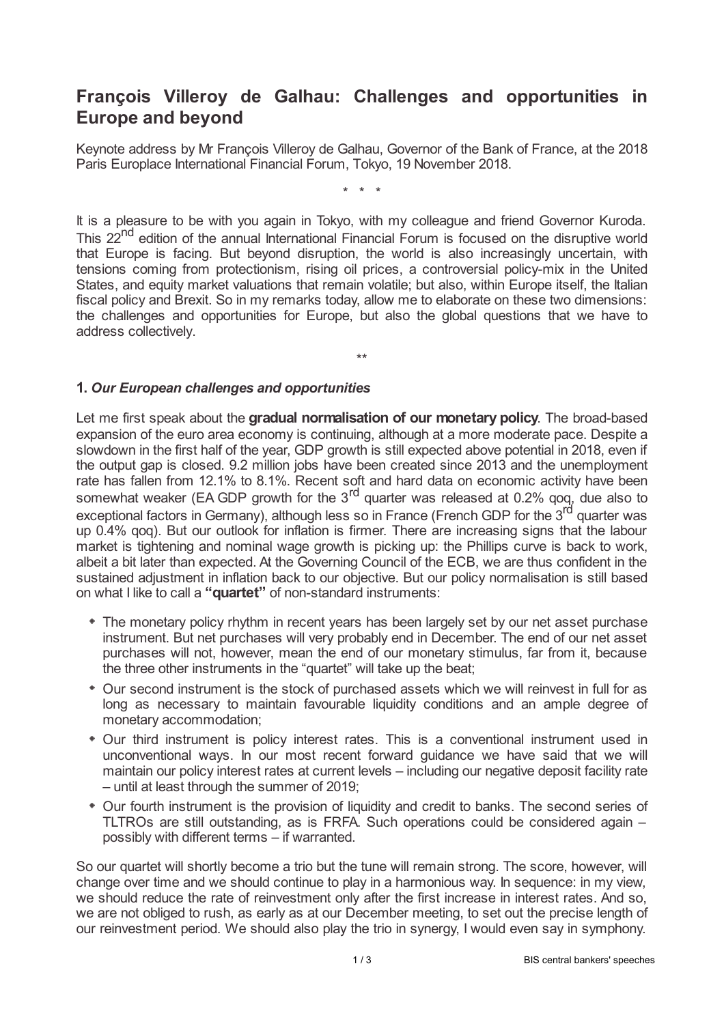## **François Villeroy de Galhau: Challenges and opportunities in Europe and beyond**

Keynote address by Mr François Villeroy de Galhau, Governor of the Bank of France, at the 2018 Paris Europlace International Financial Forum, Tokyo, 19 November 2018.

\* \* \*

It is a pleasure to be with you again in Tokyo, with my colleague and friend Governor Kuroda. This 22<sup>nd</sup> edition of the annual International Financial Forum is focused on the disruptive world that Europe is facing. But beyond disruption, the world is also increasingly uncertain, with tensions coming from protectionism, rising oil prices, a controversial policy-mix in the United States, and equity market valuations that remain volatile; but also, within Europe itself, the Italian fiscal policy and Brexit. So in my remarks today, allow me to elaborate on these two dimensions: the challenges and opportunities for Europe, but also the global questions that we have to address collectively.

\*\*

## **1.** *Our European challenges and opportunities*

Let me first speak about the **gradual normalisation of our monetary policy**. The broad-based expansion of the euro area economy is continuing, although at a more moderate pace. Despite a slowdown in the first half of the year, GDP growth is still expected above potential in 2018, even if the output gap is closed. 9.2 million jobs have been created since 2013 and the unemployment rate has fallen from 12.1% to 8.1%. Recent soft and hard data on economic activity have been somewhat weaker (EA GDP growth for the  $3<sup>rd</sup>$  quarter was released at 0.2% qoq, due also to exceptional factors in Germany), although less so in France (French GDP for the 3<sup>rd</sup> quarter was up 0.4% qoq). But our outlook for inflation is firmer. There are increasing signs that the labour market is tightening and nominal wage growth is picking up: the Phillips curve is back to work, albeit a bit later than expected. At the Governing Council of the ECB, we are thus confident in the sustained adjustment in inflation back to our objective. But our policy normalisation is still based on what I like to call a **"quartet"** of non-standard instruments:

- The monetary policy rhythm in recent years has been largely set by our net asset purchase instrument. But net purchases will very probably end in December. The end of our net asset purchases will not, however, mean the end of our monetary stimulus, far from it, because the three other instruments in the "quartet" will take up the beat;
- Our second instrument is the stock of purchased assets which we will reinvest in full for as long as necessary to maintain favourable liquidity conditions and an ample degree of monetary accommodation;
- Our third instrument is policy interest rates. This is a conventional instrument used in unconventional ways. In our most recent forward guidance we have said that we will maintain our policy interest rates at current levels – including our negative deposit facility rate – until at least through the summer of 2019;
- Our fourth instrument is the provision of liquidity and credit to banks. The second series of TLTROs are still outstanding, as is FRFA. Such operations could be considered again – possibly with different terms – if warranted.

So our quartet will shortly become a trio but the tune will remain strong. The score, however, will change over time and we should continue to play in a harmonious way. In sequence: in my view, we should reduce the rate of reinvestment only after the first increase in interest rates. And so, we are not obliged to rush, as early as at our December meeting, to set out the precise length of our reinvestment period. We should also play the trio in synergy, I would even say in symphony.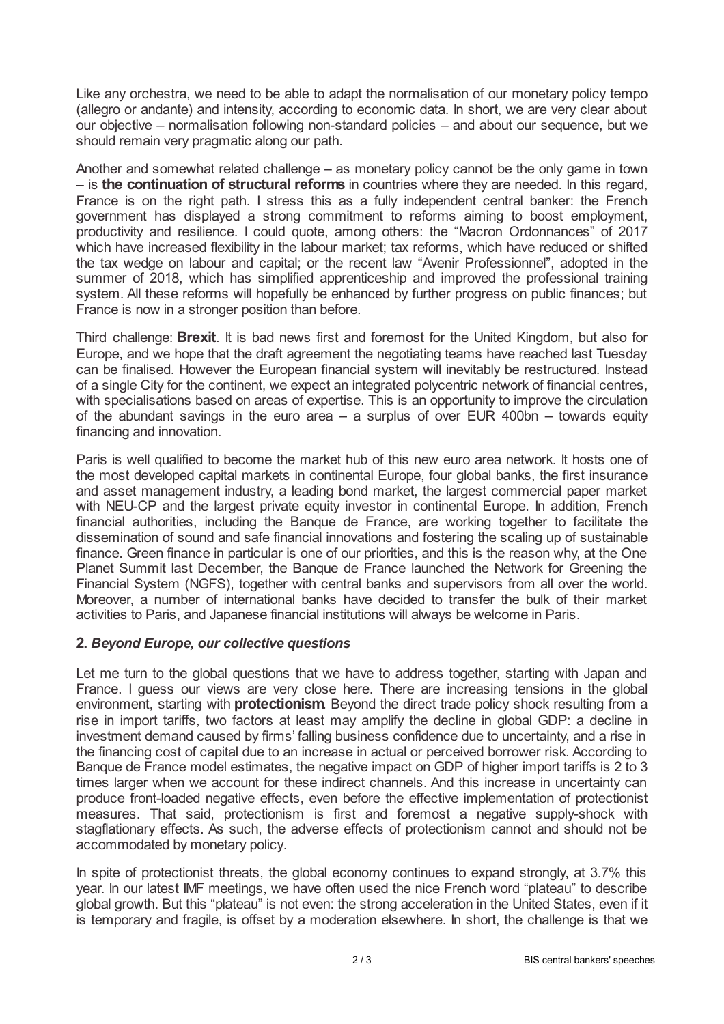Like any orchestra, we need to be able to adapt the normalisation of our monetary policy tempo (allegro or andante) and intensity, according to economic data. In short, we are very clear about our objective – normalisation following non-standard policies – and about our sequence, but we should remain very pragmatic along our path.

Another and somewhat related challenge – as monetary policy cannot be the only game in town – is **the continuation of structural reforms** in countries where they are needed. In this regard, France is on the right path. I stress this as a fully independent central banker: the French government has displayed a strong commitment to reforms aiming to boost employment, productivity and resilience. I could quote, among others: the "Macron Ordonnances" of 2017 which have increased flexibility in the labour market; tax reforms, which have reduced or shifted the tax wedge on labour and capital; or the recent law "Avenir Professionnel", adopted in the summer of 2018, which has simplified apprenticeship and improved the professional training system. All these reforms will hopefully be enhanced by further progress on public finances; but France is now in a stronger position than before.

Third challenge: **Brexit**. It is bad news first and foremost for the United Kingdom, but also for Europe, and we hope that the draft agreement the negotiating teams have reached last Tuesday can be finalised. However the European financial system will inevitably be restructured. Instead of a single City for the continent, we expect an integrated polycentric network of financial centres, with specialisations based on areas of expertise. This is an opportunity to improve the circulation of the abundant savings in the euro area  $-$  a surplus of over EUR 400bn  $-$  towards equity financing and innovation.

Paris is well qualified to become the market hub of this new euro area network. It hosts one of the most developed capital markets in continental Europe, four global banks, the first insurance and asset management industry, a leading bond market, the largest commercial paper market with NEU-CP and the largest private equity investor in continental Europe. In addition, French financial authorities, including the Banque de France, are working together to facilitate the dissemination of sound and safe financial innovations and fostering the scaling up of sustainable finance. Green finance in particular is one of our priorities, and this is the reason why, at the One Planet Summit last December, the Banque de France launched the Network for Greening the Financial System (NGFS), together with central banks and supervisors from all over the world. Moreover, a number of international banks have decided to transfer the bulk of their market activities to Paris, and Japanese financial institutions will always be welcome in Paris.

## **2.** *Beyond Europe, our collective questions*

Let me turn to the global questions that we have to address together, starting with Japan and France. I guess our views are very close here. There are increasing tensions in the global environment, starting with **protectionism**. Beyond the direct trade policy shock resulting from a rise in import tariffs, two factors at least may amplify the decline in global GDP: a decline in investment demand caused by firms' falling business confidence due to uncertainty, and a rise in the financing cost of capital due to an increase in actual or perceived borrower risk. According to Banque de France model estimates, the negative impact on GDP of higher import tariffs is 2 to 3 times larger when we account for these indirect channels. And this increase in uncertainty can produce front-loaded negative effects, even before the effective implementation of protectionist measures. That said, protectionism is first and foremost a negative supply-shock with stagflationary effects. As such, the adverse effects of protectionism cannot and should not be accommodated by monetary policy.

In spite of protectionist threats, the global economy continues to expand strongly, at 3.7% this year. In our latest IMF meetings, we have often used the nice French word "plateau" to describe global growth. But this "plateau" is not even: the strong acceleration in the United States, even if it is temporary and fragile, is offset by a moderation elsewhere. In short, the challenge is that we